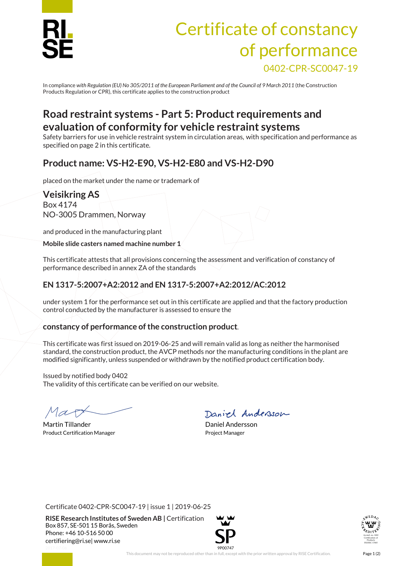

# Certificate of constancy of performance 0402-CPR-SC0047-19

In compliance *with Regulation (EU) No 305/2011 of the European Parliament and of the Council of 9 March 2011* (the Construction Products Regulation or CPR), this certificate applies to the construction product

### **Road restraint systems - Part 5: Product requirements and evaluation of conformity for vehicle restraint systems**

Safety barriers for use in vehicle restraint system in circulation areas, with specification and performance as specified on page 2 in this certificate.

#### **Product name: VS-H2-E90, VS-H2-E80 and VS-H2-D90**

placed on the market under the name or trademark of

#### **Veisikring AS** Box 4174

NO-3005 Drammen, Norway

and produced in the manufacturing plant

**Mobile slide casters named machine number 1**

This certificate attests that all provisions concerning the assessment and verification of constancy of performance described in annex ZA of the standards

#### **EN 1317-5:2007+A2:2012 and EN 1317-5:2007+A2:2012/AC:2012**

under system 1 for the performance set out in this certificate are applied and that the factory production control conducted by the manufacturer is assessed to ensure the

#### **constancy of performance of the construction product**.

This certificate was first issued on 2019-06-25 and will remain valid as long as neither the harmonised standard, the construction product, the AVCP methods nor the manufacturing conditions in the plant are modified significantly, unless suspended or withdrawn by the notified product certification body.

Issued by notified body 0402 The validity of this certificate can be verified on our website.

Martin Tillander **Daniel Andersson** Product Certification Manager **Project Manager** Project Manager

Daniel Andersson

Certificate 0402-CPR-SC0047-19 | issue 1 | 2019-06-25

**RISE Research Institutes of Sweden AB |** Certification Box 857, SE-501 15 Borås, Sweden Phone: +46 10-516 50 00 [certifiering@ri.se|](mailto:certifiering@ri.se) www.ri.se